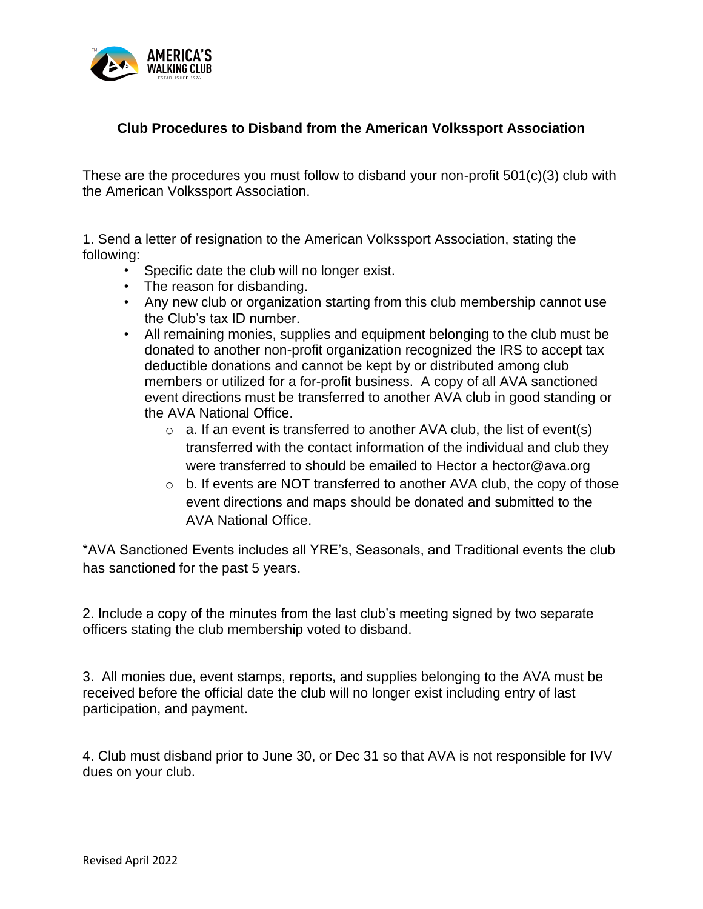

## **Club Procedures to Disband from the American Volkssport Association**

These are the procedures you must follow to disband your non-profit 501(c)(3) club with the American Volkssport Association.

1. Send a letter of resignation to the American Volkssport Association, stating the following:

- Specific date the club will no longer exist.
- The reason for disbanding.
- Any new club or organization starting from this club membership cannot use the Club's tax ID number.
- All remaining monies, supplies and equipment belonging to the club must be donated to another non-profit organization recognized the IRS to accept tax deductible donations and cannot be kept by or distributed among club members or utilized for a for-profit business. A copy of all AVA sanctioned event directions must be transferred to another AVA club in good standing or the AVA National Office.
	- $\circ$  a. If an event is transferred to another AVA club, the list of event(s) transferred with the contact information of the individual and club they were transferred to should be emailed to Hector a hector@ava.org
	- $\circ$  b. If events are NOT transferred to another AVA club, the copy of those event directions and maps should be donated and submitted to the AVA National Office.

\*AVA Sanctioned Events includes all YRE's, Seasonals, and Traditional events the club has sanctioned for the past 5 years.

2. Include a copy of the minutes from the last club's meeting signed by two separate officers stating the club membership voted to disband.

3. All monies due, event stamps, reports, and supplies belonging to the AVA must be received before the official date the club will no longer exist including entry of last participation, and payment.

4. Club must disband prior to June 30, or Dec 31 so that AVA is not responsible for IVV dues on your club.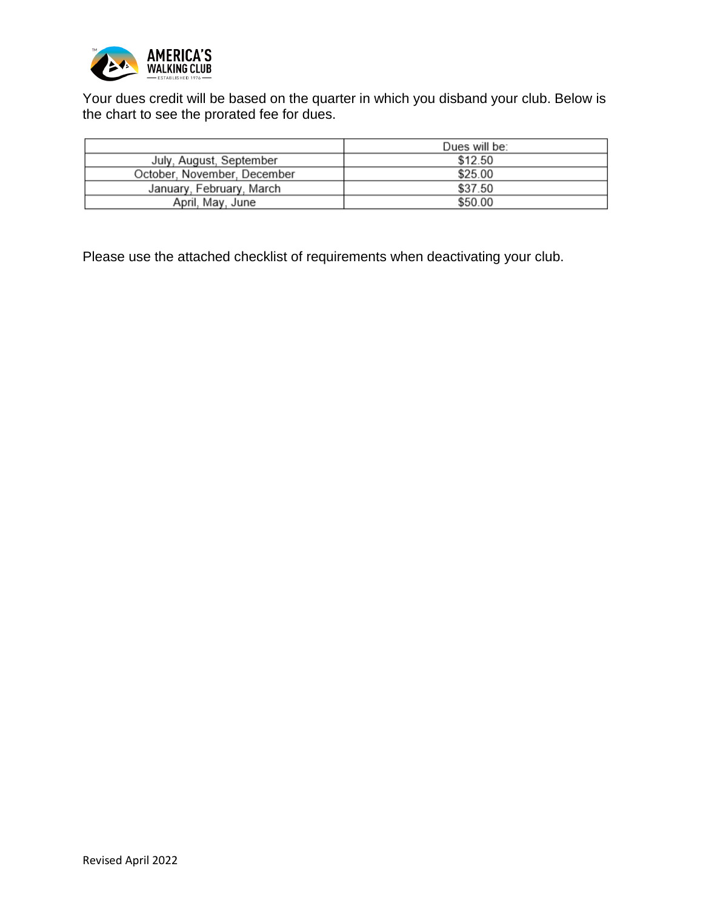

Your dues credit will be based on the quarter in which you disband your club. Below is the chart to see the prorated fee for dues.

|                             | Dues will be: |
|-----------------------------|---------------|
| July, August, September     | \$12.50       |
| October, November, December | \$25.00       |
| January, February, March    | \$37.50       |
| April, May, June            | \$50.00       |

Please use the attached checklist of requirements when deactivating your club.